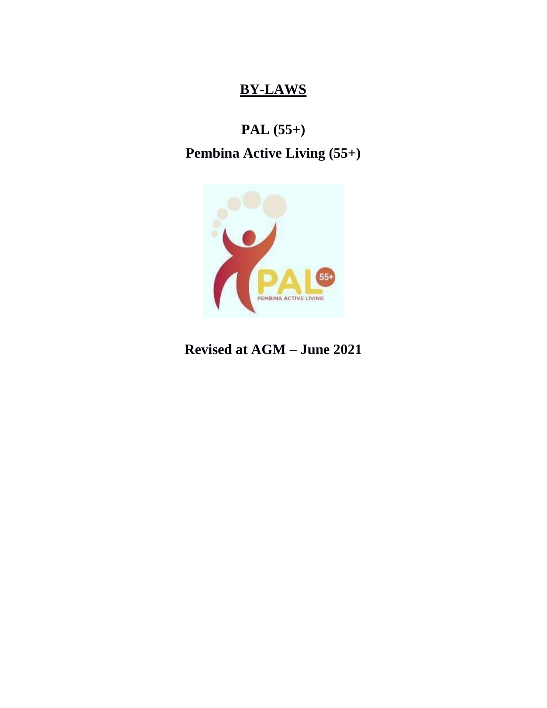# **BY-LAWS**

# **PAL (55+)**

# **Pembina Active Living (55+)**



**Revised at AGM – June 2021**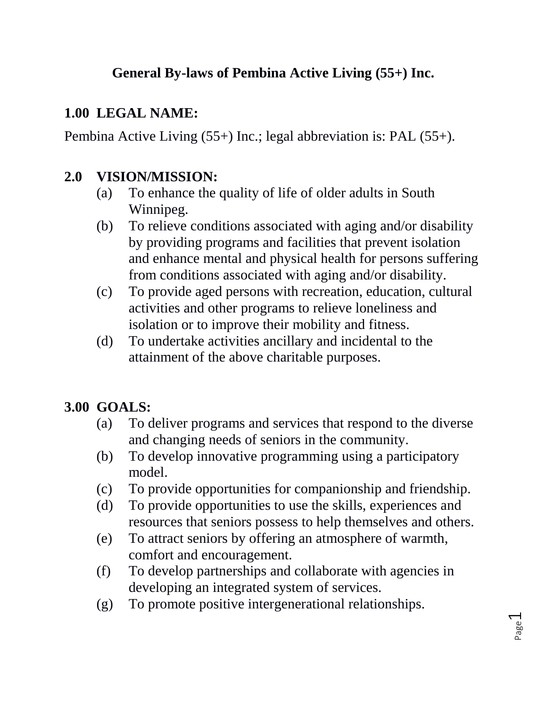# **General By-laws of Pembina Active Living (55+) Inc.**

#### **1.00 LEGAL NAME:**

Pembina Active Living (55+) Inc.; legal abbreviation is: PAL (55+).

### **2.0 VISION/MISSION:**

- (a) To enhance the quality of life of older adults in South Winnipeg.
- (b) To relieve conditions associated with aging and/or disability by providing programs and facilities that prevent isolation and enhance mental and physical health for persons suffering from conditions associated with aging and/or disability.
- (c) To provide aged persons with recreation, education, cultural activities and other programs to relieve loneliness and isolation or to improve their mobility and fitness.
- (d) To undertake activities ancillary and incidental to the attainment of the above charitable purposes.

# **3.00 GOALS:**

- (a) To deliver programs and services that respond to the diverse and changing needs of seniors in the community.
- (b) To develop innovative programming using a participatory model.
- (c) To provide opportunities for companionship and friendship.
- (d) To provide opportunities to use the skills, experiences and resources that seniors possess to help themselves and others.
- (e) To attract seniors by offering an atmosphere of warmth, comfort and encouragement.
- (f) To develop partnerships and collaborate with agencies in developing an integrated system of services.
- (g) To promote positive intergenerational relationships.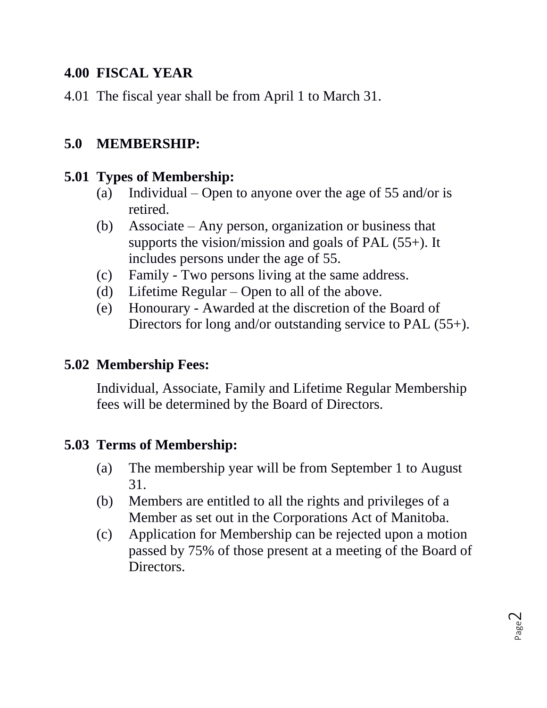#### **4.00 FISCAL YEAR**

4.01 The fiscal year shall be from April 1 to March 31.

## **5.0 MEMBERSHIP:**

#### **5.01 Types of Membership:**

- (a) Individual Open to anyone over the age of 55 and/or is retired.
- (b) Associate Any person, organization or business that supports the vision/mission and goals of PAL (55+). It includes persons under the age of 55.
- (c) Family Two persons living at the same address.
- (d) Lifetime Regular Open to all of the above.
- (e) Honourary Awarded at the discretion of the Board of Directors for long and/or outstanding service to PAL (55+).

#### **5.02 Membership Fees:**

Individual, Associate, Family and Lifetime Regular Membership fees will be determined by the Board of Directors.

#### **5.03 Terms of Membership:**

- (a) The membership year will be from September 1 to August 31.
- (b) Members are entitled to all the rights and privileges of a Member as set out in the Corporations Act of Manitoba.
- (c) Application for Membership can be rejected upon a motion passed by 75% of those present at a meeting of the Board of Directors.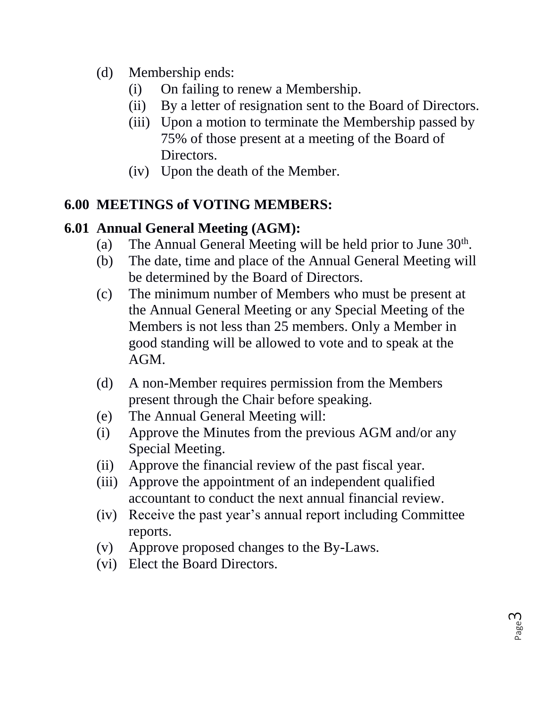- (d) Membership ends:
	- (i) On failing to renew a Membership.
	- (ii) By a letter of resignation sent to the Board of Directors.
	- (iii) Upon a motion to terminate the Membership passed by 75% of those present at a meeting of the Board of Directors.
	- (iv) Upon the death of the Member.

# **6.00 MEETINGS of VOTING MEMBERS:**

# **6.01 Annual General Meeting (AGM):**

- (a) The Annual General Meeting will be held prior to June  $30<sup>th</sup>$ .
- (b) The date, time and place of the Annual General Meeting will be determined by the Board of Directors.
- (c) The minimum number of Members who must be present at the Annual General Meeting or any Special Meeting of the Members is not less than 25 members. Only a Member in good standing will be allowed to vote and to speak at the AGM.
- (d) A non-Member requires permission from the Members present through the Chair before speaking.
- (e) The Annual General Meeting will:
- (i) Approve the Minutes from the previous AGM and/or any Special Meeting.
- (ii) Approve the financial review of the past fiscal year.
- (iii) Approve the appointment of an independent qualified accountant to conduct the next annual financial review.
- (iv) Receive the past year's annual report including Committee reports.
- (v) Approve proposed changes to the By-Laws.
- (vi) Elect the Board Directors.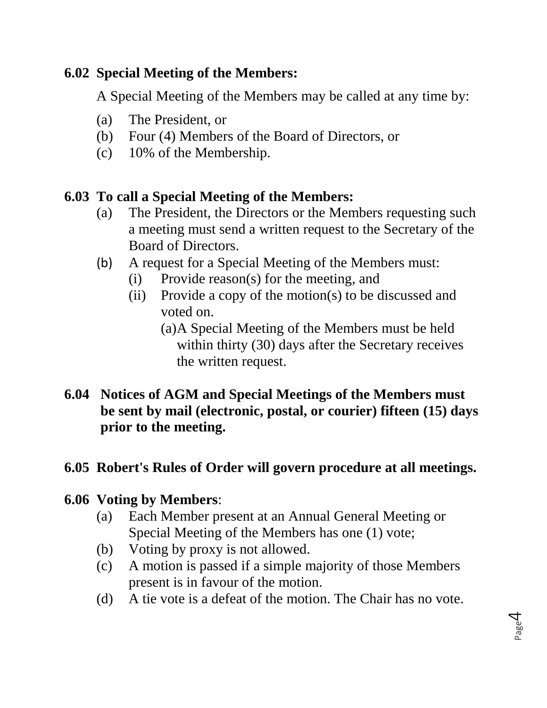### **6.02 Special Meeting of the Members:**

A Special Meeting of the Members may be called at any time by:

- (a) The President, or
- (b) Four (4) Members of the Board of Directors, or
- (c) 10% of the Membership.

# **6.03 To call a Special Meeting of the Members:**

- (a) The President, the Directors or the Members requesting such a meeting must send a written request to the Secretary of the Board of Directors.
- (b) A request for a Special Meeting of the Members must:
	- (i) Provide reason(s) for the meeting, and
	- (ii) Provide a copy of the motion(s) to be discussed and voted on.
		- (a)A Special Meeting of the Members must be held within thirty (30) days after the Secretary receives the written request.
- **6.04 Notices of AGM and Special Meetings of the Members must be sent by mail (electronic, postal, or courier) fifteen (15) days prior to the meeting.**

# **6.05 Robert's Rules of Order will govern procedure at all meetings.**

# **6.06 Voting by Members**:

- (a) Each Member present at an Annual General Meeting or Special Meeting of the Members has one (1) vote;
- (b) Voting by proxy is not allowed.
- (c) A motion is passed if a simple majority of those Members present is in favour of the motion.
- (d) A tie vote is a defeat of the motion. The Chair has no vote.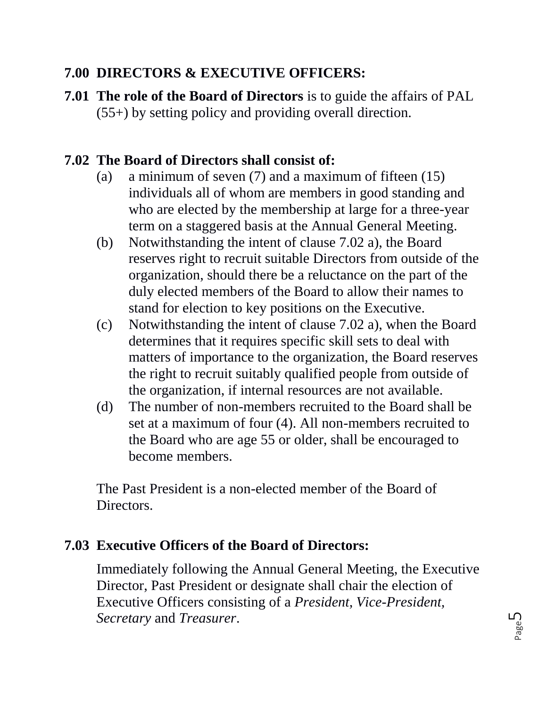### **7.00 DIRECTORS & EXECUTIVE OFFICERS:**

**7.01 The role of the Board of Directors** is to guide the affairs of PAL (55+) by setting policy and providing overall direction.

#### **7.02 The Board of Directors shall consist of:**

- (a) a minimum of seven (7) and a maximum of fifteen (15) individuals all of whom are members in good standing and who are elected by the membership at large for a three-year term on a staggered basis at the Annual General Meeting.
- (b) Notwithstanding the intent of clause 7.02 a), the Board reserves right to recruit suitable Directors from outside of the organization, should there be a reluctance on the part of the duly elected members of the Board to allow their names to stand for election to key positions on the Executive.
- (c) Notwithstanding the intent of clause 7.02 a), when the Board determines that it requires specific skill sets to deal with matters of importance to the organization, the Board reserves the right to recruit suitably qualified people from outside of the organization, if internal resources are not available.
- (d) The number of non-members recruited to the Board shall be set at a maximum of four (4). All non-members recruited to the Board who are age 55 or older, shall be encouraged to become members.

The Past President is a non-elected member of the Board of Directors.

#### **7.03 Executive Officers of the Board of Directors:**

Immediately following the Annual General Meeting, the Executive Director, Past President or designate shall chair the election of Executive Officers consisting of a *President, Vice-President, Secretary* and *Treasurer*.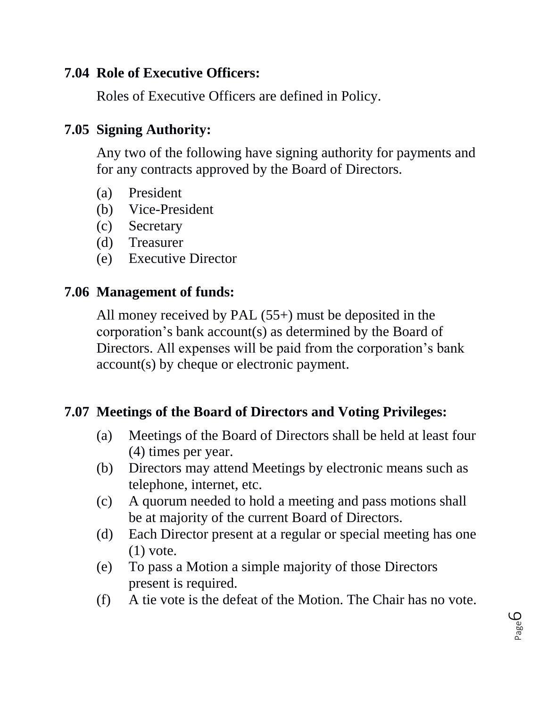#### **7.04 Role of Executive Officers:**

Roles of Executive Officers are defined in Policy.

#### **7.05 Signing Authority:**

Any two of the following have signing authority for payments and for any contracts approved by the Board of Directors.

- (a) President
- (b) Vice-President
- (c) Secretary
- (d) Treasurer
- (e) Executive Director

#### **7.06 Management of funds:**

All money received by PAL (55+) must be deposited in the corporation's bank account(s) as determined by the Board of Directors. All expenses will be paid from the corporation's bank account(s) by cheque or electronic payment.

#### **7.07 Meetings of the Board of Directors and Voting Privileges:**

- (a) Meetings of the Board of Directors shall be held at least four (4) times per year.
- (b) Directors may attend Meetings by electronic means such as telephone, internet, etc.
- (c) A quorum needed to hold a meeting and pass motions shall be at majority of the current Board of Directors.
- (d) Each Director present at a regular or special meeting has one  $(1)$  vote.
- (e) To pass a Motion a simple majority of those Directors present is required.
- (f) A tie vote is the defeat of the Motion. The Chair has no vote.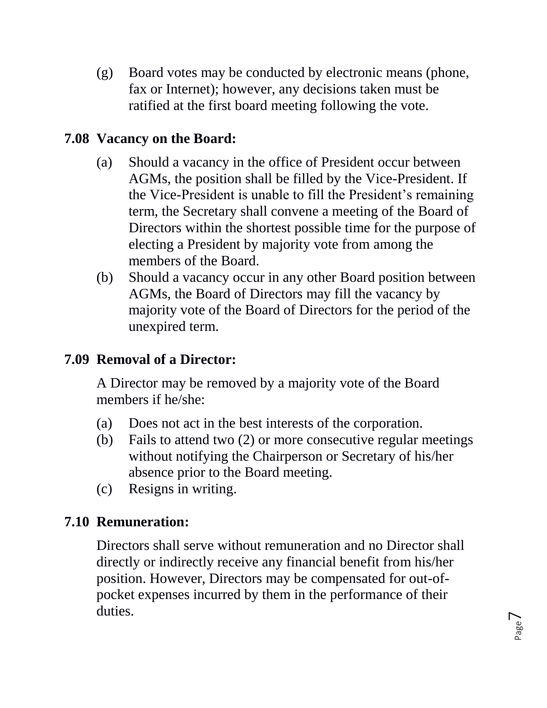(g) Board votes may be conducted by electronic means (phone, fax or Internet); however, any decisions taken must be ratified at the first board meeting following the vote.

#### **7.08 Vacancy on the Board:**

- (a) Should a vacancy in the office of President occur between AGMs, the position shall be filled by the Vice-President. If the Vice-President is unable to fill the President's remaining term, the Secretary shall convene a meeting of the Board of Directors within the shortest possible time for the purpose of electing a President by majority vote from among the members of the Board.
- (b) Should a vacancy occur in any other Board position between AGMs, the Board of Directors may fill the vacancy by majority vote of the Board of Directors for the period of the unexpired term.

### **7.09 Removal of a Director:**

A Director may be removed by a majority vote of the Board members if he/she:

- (a) Does not act in the best interests of the corporation.
- (b) Fails to attend two (2) or more consecutive regular meetings without notifying the Chairperson or Secretary of his/her absence prior to the Board meeting.
- (c) Resigns in writing.

# **7.10 Remuneration:**

Directors shall serve without remuneration and no Director shall directly or indirectly receive any financial benefit from his/her position. However, Directors may be compensated for out-ofpocket expenses incurred by them in the performance of their duties.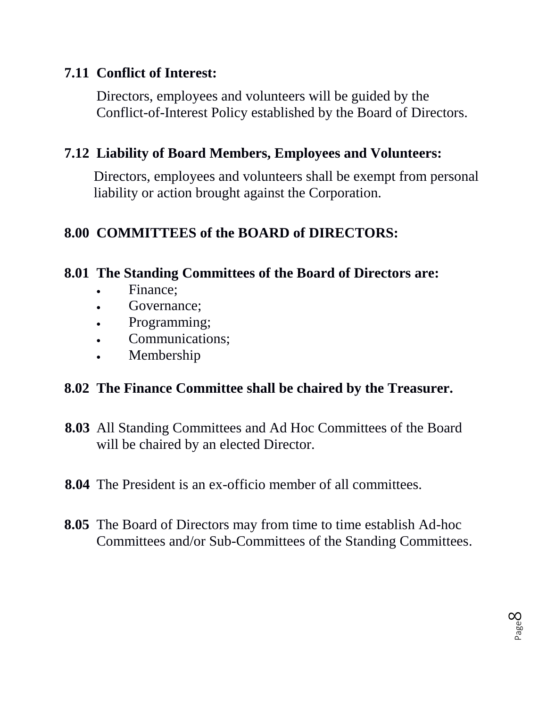### **7.11 Conflict of Interest:**

Directors, employees and volunteers will be guided by the Conflict-of-Interest Policy established by the Board of Directors.

### **7.12 Liability of Board Members, Employees and Volunteers:**

Directors, employees and volunteers shall be exempt from personal liability or action brought against the Corporation.

# **8.00 COMMITTEES of the BOARD of DIRECTORS:**

### **8.01 The Standing Committees of the Board of Directors are:**

- Finance;
- Governance;
- Programming;
- Communications;
- Membership

# **8.02 The Finance Committee shall be chaired by the Treasurer.**

- **8.03** All Standing Committees and Ad Hoc Committees of the Board will be chaired by an elected Director.
- **8.04** The President is an ex-officio member of all committees.
- **8.05** The Board of Directors may from time to time establish Ad-hoc Committees and/or Sub-Committees of the Standing Committees.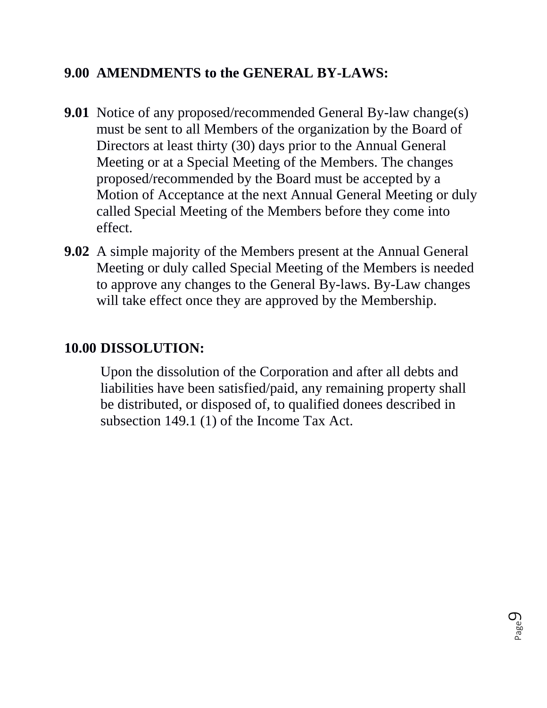### **9.00 AMENDMENTS to the GENERAL BY-LAWS:**

- **9.01** Notice of any proposed/recommended General By-law change(s) must be sent to all Members of the organization by the Board of Directors at least thirty (30) days prior to the Annual General Meeting or at a Special Meeting of the Members. The changes proposed/recommended by the Board must be accepted by a Motion of Acceptance at the next Annual General Meeting or duly called Special Meeting of the Members before they come into effect.
- **9.02** A simple majority of the Members present at the Annual General Meeting or duly called Special Meeting of the Members is needed to approve any changes to the General By-laws. By-Law changes will take effect once they are approved by the Membership.

#### **10.00 DISSOLUTION:**

Upon the dissolution of the Corporation and after all debts and liabilities have been satisfied/paid, any remaining property shall be distributed, or disposed of, to qualified donees described in subsection 149.1 (1) of the Income Tax Act.